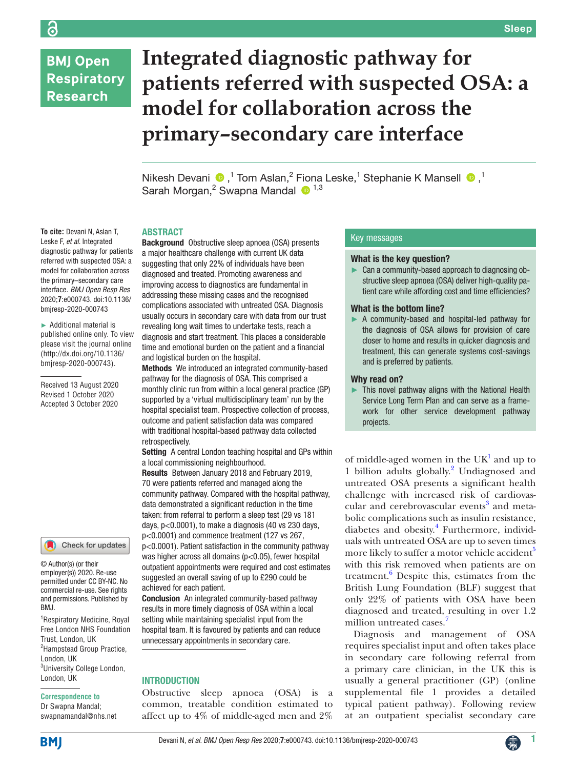# **BMJ Open Respiratory Research**

# **Integrated diagnostic pathway for patients referred with suspected OSA: a model for collaboration across the primary–secondary care interface**

NikeshDevani  $\bigcirc$ , 1 Tom Aslan, 2 Fiona Leske, 1 Stephanie K Mansell  $\bigcirc$ , 1 Sarah Morgan,<sup>2</sup> Swapna Mandal <sup>1,3</sup>

#### ABSTRACT

**To cite:** Devani N, Aslan T, Leske F, *et al*. Integrated diagnostic pathway for patients referred with suspected OSA: a model for collaboration across the primary–secondary care interface. *BMJ Open Resp Res* 2020;**7**:e000743. doi:10.1136/ bmjresp-2020-000743

► Additional material is published online only. To view please visit the journal online (http://dx.doi.org/10.1136/ bmjresp-2020-000743).

Received 13 August 2020 Revised 1 October 2020 Accepted 3 October 2020

# Check for updates

© Author(s) (or their employer(s)) 2020. Re-use permitted under CC BY-NC. No commercial re-use. See rights and permissions. Published by BMJ.

1 Respiratory Medicine, Royal Free London NHS Foundation Trust, London, UK <sup>2</sup>Hampstead Group Practice, London, UK <sup>3</sup>University College London, London, UK

#### **Correspondence to**

Dr Swapna Mandal; swapnamandal@nhs.net

Background Obstructive sleep apnoea (OSA) presents a major healthcare challenge with current UK data suggesting that only 22% of individuals have been diagnosed and treated. Promoting awareness and improving access to diagnostics are fundamental in addressing these missing cases and the recognised complications associated with untreated OSA. Diagnosis usually occurs in secondary care with data from our trust revealing long wait times to undertake tests, reach a diagnosis and start treatment. This places a considerable time and emotional burden on the patient and a financial and logistical burden on the hospital.

Methods We introduced an integrated community-based pathway for the diagnosis of OSA. This comprised a monthly clinic run from within a local general practice (GP) supported by a 'virtual multidisciplinary team' run by the hospital specialist team. Prospective collection of process, outcome and patient satisfaction data was compared with traditional hospital-based pathway data collected retrospectively.

Setting A central London teaching hospital and GPs within a local commissioning neighbourhood.

Results Between January 2018 and February 2019, 70 were patients referred and managed along the community pathway. Compared with the hospital pathway, data demonstrated a significant reduction in the time taken: from referral to perform a sleep test (29 vs 181 days, p<0.0001), to make a diagnosis (40 vs 230 days, p<0.0001) and commence treatment (127 vs 267, p<0.0001). Patient satisfaction in the community pathway was higher across all domains (p<0.05), fewer hospital outpatient appointments were required and cost estimates suggested an overall saving of up to £290 could be achieved for each patient.

Conclusion An integrated community-based pathway results in more timely diagnosis of OSA within a local setting while maintaining specialist input from the hospital team. It is favoured by patients and can reduce unnecessary appointments in secondary care.

#### **INTRODUCTION**

Obstructive sleep apnoea (OSA) is a common, treatable condition estimated to affect up to 4% of middle-aged men and 2%

#### Key messages

#### What is the key question?

► Can a community-based approach to diagnosing obstructive sleep apnoea (OSA) deliver high-quality patient care while affording cost and time efficiencies?

#### What is the bottom line?

► A community-based and hospital-led pathway for the diagnosis of OSA allows for provision of care closer to home and results in quicker diagnosis and treatment, this can generate systems cost-savings and is preferred by patients.

#### Why read on?

This novel pathway aligns with the National Health Service Long Term Plan and can serve as a framework for other service development pathway projects.

of middle-aged women in the  $UK<sup>1</sup>$  $UK<sup>1</sup>$  $UK<sup>1</sup>$  and up to 1 billion adults globally.<sup>[2](#page-6-1)</sup> Undiagnosed and untreated OSA presents a significant health challenge with increased risk of cardiovas-cular and cerebrovascular events<sup>[3](#page-6-2)</sup> and metabolic complications such as insulin resistance, diabetes and obesity.<sup>4</sup> Furthermore, individuals with untreated OSA are up to seven times more likely to suffer a motor vehicle accident<sup>3</sup> with this risk removed when patients are on treatment.<sup>[6](#page-6-5)</sup> Despite this, estimates from the British Lung Foundation (BLF) suggest that only 22% of patients with OSA have been diagnosed and treated, resulting in over 1.2 million untreated cases.<sup>[7](#page-6-6)</sup>

Diagnosis and management of OSA requires specialist input and often takes place in secondary care following referral from a primary care clinician, in the UK this is usually a general practitioner (GP) [\(online](https://dx.doi.org/10.1136/bmjresp-2020-000743) [supplemental file 1](https://dx.doi.org/10.1136/bmjresp-2020-000743) provides a detailed typical patient pathway). Following review at an outpatient specialist secondary care

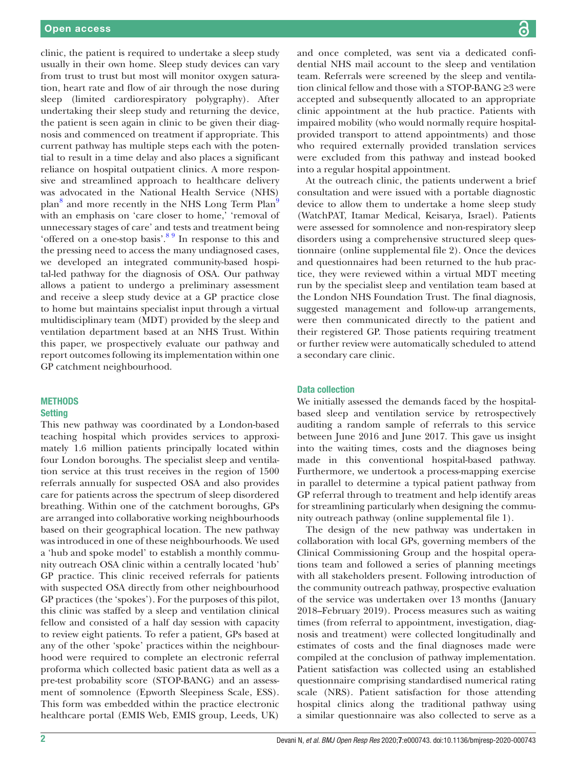clinic, the patient is required to undertake a sleep study usually in their own home. Sleep study devices can vary from trust to trust but most will monitor oxygen saturation, heart rate and flow of air through the nose during sleep (limited cardiorespiratory polygraphy). After undertaking their sleep study and returning the device, the patient is seen again in clinic to be given their diagnosis and commenced on treatment if appropriate. This current pathway has multiple steps each with the potential to result in a time delay and also places a significant reliance on hospital outpatient clinics. A more responsive and streamlined approach to healthcare delivery was advocated in the National Health Service (NHS) plan<sup>8</sup> and more recently in the NHS Long Term Plan<sup>[9](#page-6-8)</sup> with an emphasis on 'care closer to home,' 'removal of unnecessary stages of care' and tests and treatment being 'offered on a one-stop basis'.<sup>8 9</sup> In response to this and the pressing need to access the many undiagnosed cases, we developed an integrated community-based hospital-led pathway for the diagnosis of OSA. Our pathway allows a patient to undergo a preliminary assessment and receive a sleep study device at a GP practice close to home but maintains specialist input through a virtual multidisciplinary team (MDT) provided by the sleep and ventilation department based at an NHS Trust. Within this paper, we prospectively evaluate our pathway and report outcomes following its implementation within one GP catchment neighbourhood.

#### **METHODS Setting**

This new pathway was coordinated by a London-based teaching hospital which provides services to approximately 1.6 million patients principally located within four London boroughs. The specialist sleep and ventilation service at this trust receives in the region of 1500 referrals annually for suspected OSA and also provides care for patients across the spectrum of sleep disordered breathing. Within one of the catchment boroughs, GPs are arranged into collaborative working neighbourhoods based on their geographical location. The new pathway was introduced in one of these neighbourhoods. We used a 'hub and spoke model' to establish a monthly community outreach OSA clinic within a centrally located 'hub' GP practice. This clinic received referrals for patients with suspected OSA directly from other neighbourhood GP practices (the 'spokes'). For the purposes of this pilot, this clinic was staffed by a sleep and ventilation clinical fellow and consisted of a half day session with capacity to review eight patients. To refer a patient, GPs based at any of the other 'spoke' practices within the neighbourhood were required to complete an electronic referral proforma which collected basic patient data as well as a pre-test probability score (STOP-BANG) and an assessment of somnolence (Epworth Sleepiness Scale, ESS). This form was embedded within the practice electronic healthcare portal (EMIS Web, EMIS group, Leeds, UK)

and once completed, was sent via a dedicated confidential NHS mail account to the sleep and ventilation team. Referrals were screened by the sleep and ventilation clinical fellow and those with a STOP-BANG ≥3 were accepted and subsequently allocated to an appropriate clinic appointment at the hub practice. Patients with impaired mobility (who would normally require hospitalprovided transport to attend appointments) and those who required externally provided translation services were excluded from this pathway and instead booked into a regular hospital appointment.

At the outreach clinic, the patients underwent a brief consultation and were issued with a portable diagnostic device to allow them to undertake a home sleep study (WatchPAT, Itamar Medical, Keisarya*,* Israel). Patients were assessed for somnolence and non-respiratory sleep disorders using a comprehensive structured sleep questionnaire [\(online supplemental file 2\)](https://dx.doi.org/10.1136/bmjresp-2020-000743). Once the devices and questionnaires had been returned to the hub practice, they were reviewed within a virtual MDT meeting run by the specialist sleep and ventilation team based at the London NHS Foundation Trust. The final diagnosis, suggested management and follow-up arrangements, were then communicated directly to the patient and their registered GP. Those patients requiring treatment or further review were automatically scheduled to attend a secondary care clinic.

#### Data collection

We initially assessed the demands faced by the hospitalbased sleep and ventilation service by retrospectively auditing a random sample of referrals to this service between June 2016 and June 2017. This gave us insight into the waiting times, costs and the diagnoses being made in this conventional hospital-based pathway. Furthermore, we undertook a process-mapping exercise in parallel to determine a typical patient pathway from GP referral through to treatment and help identify areas for streamlining particularly when designing the community outreach pathway [\(online supplemental file 1\)](https://dx.doi.org/10.1136/bmjresp-2020-000743).

The design of the new pathway was undertaken in collaboration with local GPs, governing members of the Clinical Commissioning Group and the hospital operations team and followed a series of planning meetings with all stakeholders present. Following introduction of the community outreach pathway, prospective evaluation of the service was undertaken over 13 months (January 2018–February 2019). Process measures such as waiting times (from referral to appointment, investigation, diagnosis and treatment) were collected longitudinally and estimates of costs and the final diagnoses made were compiled at the conclusion of pathway implementation. Patient satisfaction was collected using an established questionnaire comprising standardised numerical rating scale (NRS). Patient satisfaction for those attending hospital clinics along the traditional pathway using a similar questionnaire was also collected to serve as a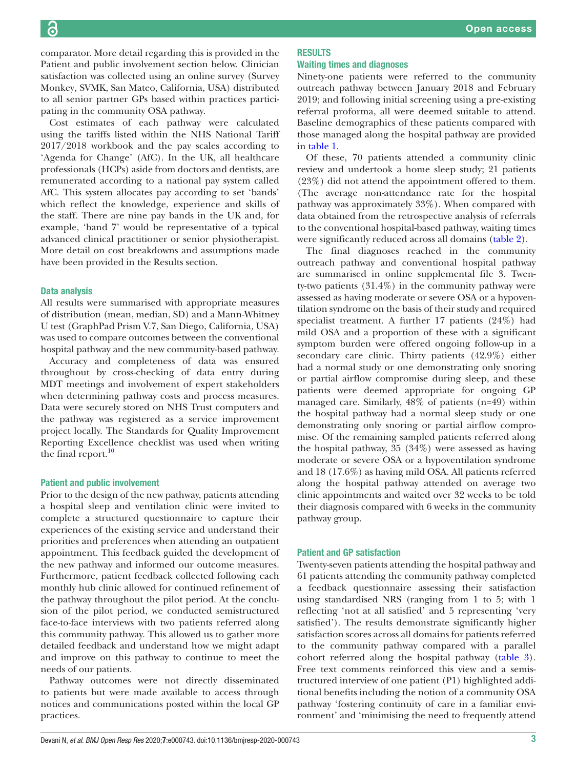comparator. More detail regarding this is provided in the Patient and public involvement section below. Clinician satisfaction was collected using an online survey (Survey Monkey*,* SVMK, San Mateo, California, USA) distributed to all senior partner GPs based within practices participating in the community OSA pathway.

Cost estimates of each pathway were calculated using the tariffs listed within the NHS National Tariff 2017/2018 workbook and the pay scales according to 'Agenda for Change' (AfC). In the UK, all healthcare professionals (HCPs) aside from doctors and dentists, are remunerated according to a national pay system called AfC. This system allocates pay according to set 'bands' which reflect the knowledge, experience and skills of the staff. There are nine pay bands in the UK and, for example, 'band 7' would be representative of a typical advanced clinical practitioner or senior physiotherapist. More detail on cost breakdowns and assumptions made have been provided in the Results section.

#### Data analysis

All results were summarised with appropriate measures of distribution (mean, median, SD) and a Mann-Whitney U test (GraphPad Prism V.7, San Diego, California*,* USA) was used to compare outcomes between the conventional hospital pathway and the new community-based pathway.

Accuracy and completeness of data was ensured throughout by cross-checking of data entry during MDT meetings and involvement of expert stakeholders when determining pathway costs and process measures. Data were securely stored on NHS Trust computers and the pathway was registered as a service improvement project locally. The Standards for Quality Improvement Reporting Excellence checklist was used when writing the final report. $10$ 

#### Patient and public involvement

Prior to the design of the new pathway, patients attending a hospital sleep and ventilation clinic were invited to complete a structured questionnaire to capture their experiences of the existing service and understand their priorities and preferences when attending an outpatient appointment. This feedback guided the development of the new pathway and informed our outcome measures. Furthermore, patient feedback collected following each monthly hub clinic allowed for continued refinement of the pathway throughout the pilot period. At the conclusion of the pilot period, we conducted semistructured face-to-face interviews with two patients referred along this community pathway. This allowed us to gather more detailed feedback and understand how we might adapt and improve on this pathway to continue to meet the needs of our patients.

Pathway outcomes were not directly disseminated to patients but were made available to access through notices and communications posted within the local GP practices.

# RESULTS

# Waiting times and diagnoses

Ninety-one patients were referred to the community outreach pathway between January 2018 and February 2019; and following initial screening using a pre-existing referral proforma, all were deemed suitable to attend. Baseline demographics of these patients compared with those managed along the hospital pathway are provided in [table](#page-3-0) 1.

Of these, 70 patients attended a community clinic review and undertook a home sleep study; 21 patients (23%) did not attend the appointment offered to them. (The average non-attendance rate for the hospital pathway was approximately 33%). When compared with data obtained from the retrospective analysis of referrals to the conventional hospital-based pathway, waiting times were significantly reduced across all domains [\(table](#page-3-1) 2).

The final diagnoses reached in the community outreach pathway and conventional hospital pathway are summarised in [online supplemental file 3.](https://dx.doi.org/10.1136/bmjresp-2020-000743) Twenty-two patients (31.4%) in the community pathway were assessed as having moderate or severe OSA or a hypoventilation syndrome on the basis of their study and required specialist treatment. A further 17 patients (24%) had mild OSA and a proportion of these with a significant symptom burden were offered ongoing follow-up in a secondary care clinic. Thirty patients (42.9%) either had a normal study or one demonstrating only snoring or partial airflow compromise during sleep, and these patients were deemed appropriate for ongoing GP managed care. Similarly, 48% of patients (n=49) within the hospital pathway had a normal sleep study or one demonstrating only snoring or partial airflow compromise. Of the remaining sampled patients referred along the hospital pathway, 35 (34%) were assessed as having moderate or severe OSA or a hypoventilation syndrome and 18 (17.6%) as having mild OSA. All patients referred along the hospital pathway attended on average two clinic appointments and waited over 32 weeks to be told their diagnosis compared with 6 weeks in the community pathway group.

#### Patient and GP satisfaction

Twenty-seven patients attending the hospital pathway and 61 patients attending the community pathway completed a feedback questionnaire assessing their satisfaction using standardised NRS (ranging from 1 to 5; with 1 reflecting 'not at all satisfied' and 5 representing 'very satisfied'). The results demonstrate significantly higher satisfaction scores across all domains for patients referred to the community pathway compared with a parallel cohort referred along the hospital pathway ([table](#page-4-0) 3). Free text comments reinforced this view and a semistructured interview of one patient (P1) highlighted additional benefits including the notion of a community OSA pathway 'fostering continuity of care in a familiar environment' and 'minimising the need to frequently attend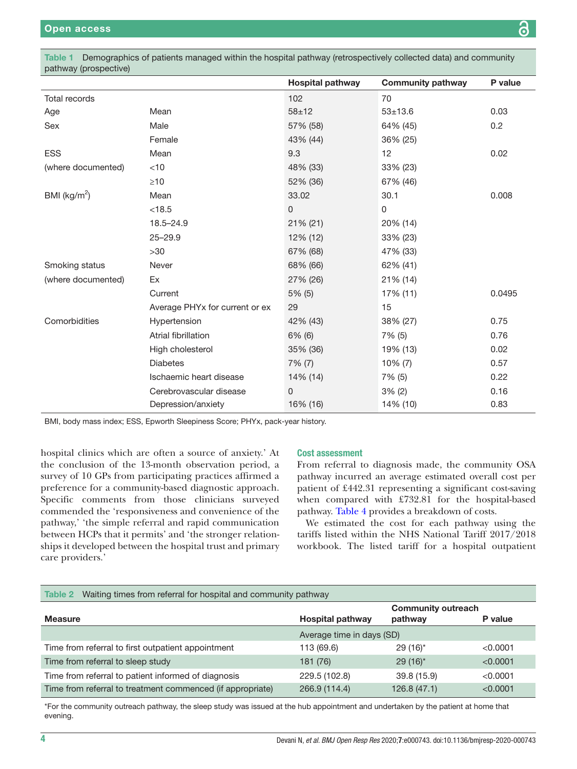<span id="page-3-0"></span>Table 1 Demographics of patients managed within the hospital pathway (retrospectively collected data) and community pathway (prospective)

|                    |                                | <b>Hospital pathway</b> | <b>Community pathway</b> | P value |
|--------------------|--------------------------------|-------------------------|--------------------------|---------|
| Total records      |                                | 102                     | 70                       |         |
| Age                | Mean                           | $58 + 12$               | $53 + 13.6$              | 0.03    |
| Sex                | Male                           | 57% (58)                | 64% (45)                 | 0.2     |
|                    | Female                         | 43% (44)                | 36% (25)                 |         |
| <b>ESS</b>         | Mean                           | 9.3                     | 12                       | 0.02    |
| (where documented) | $<$ 10                         | 48% (33)                | 33% (23)                 |         |
|                    | $\geq 10$                      | 52% (36)                | 67% (46)                 |         |
| BMI ( $kg/m2$ )    | Mean                           | 33.02                   | 30.1                     | 0.008   |
|                    | < 18.5                         | $\overline{0}$          | $\mathbf{0}$             |         |
|                    | $18.5 - 24.9$                  | 21% (21)                | 20% (14)                 |         |
|                    | $25 - 29.9$                    | 12% (12)                | 33% (23)                 |         |
|                    | >30                            | 67% (68)                | 47% (33)                 |         |
| Smoking status     | Never                          | 68% (66)                | 62% (41)                 |         |
| (where documented) | Ex                             | 27% (26)                | 21% (14)                 |         |
|                    | Current                        | $5%$ (5)                | 17% (11)                 | 0.0495  |
|                    | Average PHYx for current or ex | 29                      | 15                       |         |
| Comorbidities      | Hypertension                   | 42% (43)                | 38% (27)                 | 0.75    |
|                    | Atrial fibrillation            | $6\%$ (6)               | 7% (5)                   | 0.76    |
|                    | High cholesterol               | 35% (36)                | 19% (13)                 | 0.02    |
|                    | <b>Diabetes</b>                | $7\%$ (7)               | 10% (7)                  | 0.57    |
|                    | Ischaemic heart disease        | 14% (14)                | 7% (5)                   | 0.22    |
|                    | Cerebrovascular disease        | 0                       | $3\%$ (2)                | 0.16    |
|                    | Depression/anxiety             | 16% (16)                | 14% (10)                 | 0.83    |

BMI, body mass index; ESS, Epworth Sleepiness Score; PHYx, pack-year history.

hospital clinics which are often a source of anxiety.' At the conclusion of the 13-month observation period, a survey of 10 GPs from participating practices affirmed a preference for a community-based diagnostic approach. Specific comments from those clinicians surveyed commended the 'responsiveness and convenience of the pathway,' 'the simple referral and rapid communication between HCPs that it permits' and 'the stronger relationships it developed between the hospital trust and primary care providers.'

#### Cost assessment

From referral to diagnosis made, the community OSA pathway incurred an average estimated overall cost per patient of £442.31 representing a significant cost-saving when compared with £732.81 for the hospital-based pathway. [Table](#page-4-1) 4 provides a breakdown of costs.

We estimated the cost for each pathway using the tariffs listed within the NHS National Tariff 2017/2018 workbook. The listed tariff for a hospital outpatient

### <span id="page-3-1"></span>Table 2 Waiting times from referral for hospital and community pathway

|                                                            |                           | <b>Community outreach</b> |          |
|------------------------------------------------------------|---------------------------|---------------------------|----------|
| <b>Measure</b>                                             | <b>Hospital pathway</b>   | pathway                   | P value  |
|                                                            | Average time in days (SD) |                           |          |
| Time from referral to first outpatient appointment         | 113 (69.6)                | $29(16)^*$                | < 0.0001 |
| Time from referral to sleep study                          | 181 (76)                  | $29(16)^*$                | < 0.0001 |
| Time from referral to patient informed of diagnosis        | 229.5 (102.8)             | 39.8 (15.9)               | < 0.0001 |
| Time from referral to treatment commenced (if appropriate) | 266.9 (114.4)             | 126.8(47.1)               | < 0.0001 |

\*For the community outreach pathway, the sleep study was issued at the hub appointment and undertaken by the patient at home that evening.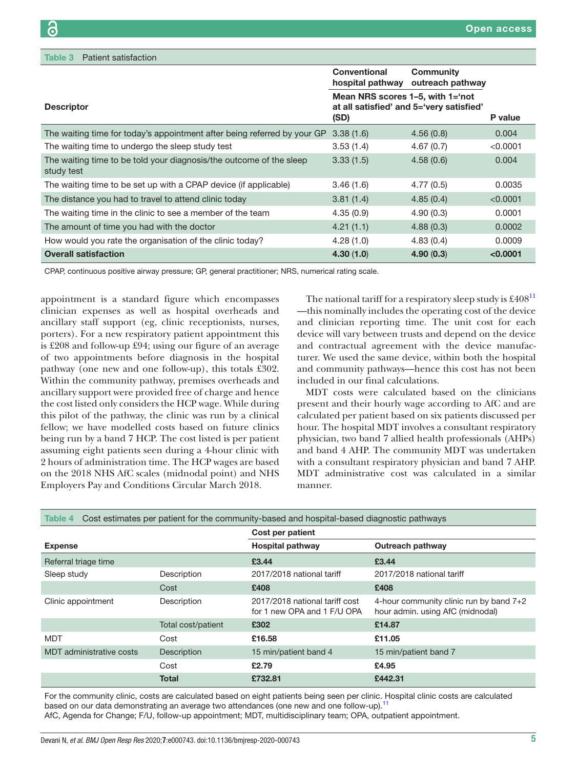<span id="page-4-0"></span>

| Patient satisfaction<br>Table 3                                                   |                                                                                      |                               |          |
|-----------------------------------------------------------------------------------|--------------------------------------------------------------------------------------|-------------------------------|----------|
|                                                                                   | <b>Conventional</b><br>hospital pathway                                              | Community<br>outreach pathway |          |
| <b>Descriptor</b>                                                                 | Mean NRS scores 1–5, with 1='not<br>at all satisfied' and 5='very satisfied'<br>(SD) |                               | P value  |
| The waiting time for today's appointment after being referred by your GP          | 3.38(1.6)                                                                            | 4.56(0.8)                     | 0.004    |
| The waiting time to undergo the sleep study test                                  | 3.53(1.4)                                                                            | 4.67(0.7)                     | < 0.0001 |
| The waiting time to be told your diagnosis/the outcome of the sleep<br>study test | 3.33(1.5)                                                                            | 4.58(0.6)                     | 0.004    |
| The waiting time to be set up with a CPAP device (if applicable)                  | 3.46(1.6)                                                                            | 4.77(0.5)                     | 0.0035   |
| The distance you had to travel to attend clinic today                             | 3.81(1.4)                                                                            | 4.85(0.4)                     | < 0.0001 |
| The waiting time in the clinic to see a member of the team                        | 4.35(0.9)                                                                            | 4.90(0.3)                     | 0.0001   |
| The amount of time you had with the doctor                                        | 4.21(1.1)                                                                            | 4.88(0.3)                     | 0.0002   |
| How would you rate the organisation of the clinic today?                          | 4.28(1.0)                                                                            | 4.83(0.4)                     | 0.0009   |
| <b>Overall satisfaction</b>                                                       | 4.30(1.0)                                                                            | 4.90(0.3)                     | < 0.0001 |

CPAP, continuous positive airway pressure; GP, general practitioner; NRS, numerical rating scale.

appointment is a standard figure which encompasses clinician expenses as well as hospital overheads and ancillary staff support (eg, clinic receptionists, nurses, porters). For a new respiratory patient appointment this is £208 and follow-up £94; using our figure of an average of two appointments before diagnosis in the hospital pathway (one new and one follow-up), this totals £302. Within the community pathway, premises overheads and ancillary support were provided free of charge and hence the cost listed only considers the HCP wage. While during this pilot of the pathway, the clinic was run by a clinical fellow; we have modelled costs based on future clinics being run by a band 7 HCP. The cost listed is per patient assuming eight patients seen during a 4-hour clinic with 2 hours of administration time. The HCP wages are based on the 2018 NHS AfC scales (midnodal point) and NHS Employers Pay and Conditions Circular March 2018.

The national tariff for a respiratory sleep study is  $\pounds 408^{11}$ —this nominally includes the operating cost of the device and clinician reporting time. The unit cost for each device will vary between trusts and depend on the device and contractual agreement with the device manufacturer. We used the same device, within both the hospital and community pathways—hence this cost has not been included in our final calculations.

MDT costs were calculated based on the clinicians present and their hourly wage according to AfC and are calculated per patient based on six patients discussed per hour. The hospital MDT involves a consultant respiratory physician, two band 7 allied health professionals (AHPs) and band 4 AHP. The community MDT was undertaken with a consultant respiratory physician and band 7 AHP. MDT administrative cost was calculated in a similar manner.

<span id="page-4-1"></span>

| Cost estimates per patient for the community-based and hospital-based diagnostic pathways<br>Table 4 |                    |                                                               |                                                                               |  |  |  |
|------------------------------------------------------------------------------------------------------|--------------------|---------------------------------------------------------------|-------------------------------------------------------------------------------|--|--|--|
|                                                                                                      |                    | Cost per patient                                              |                                                                               |  |  |  |
| <b>Expense</b>                                                                                       |                    | <b>Hospital pathway</b>                                       | Outreach pathway                                                              |  |  |  |
| Referral triage time                                                                                 |                    | £3.44                                                         | £3.44                                                                         |  |  |  |
| Sleep study                                                                                          | Description        | 2017/2018 national tariff                                     | 2017/2018 national tariff                                                     |  |  |  |
|                                                                                                      | Cost               | £408                                                          | £408                                                                          |  |  |  |
| Clinic appointment                                                                                   | Description        | 2017/2018 national tariff cost<br>for 1 new OPA and 1 F/U OPA | 4-hour community clinic run by band $7+2$<br>hour admin. using AfC (midnodal) |  |  |  |
|                                                                                                      | Total cost/patient | £302                                                          | £14.87                                                                        |  |  |  |
| MDT                                                                                                  | Cost               | £16.58                                                        | £11.05                                                                        |  |  |  |
| MDT administrative costs                                                                             | Description        | 15 min/patient band 4                                         | 15 min/patient band 7                                                         |  |  |  |
|                                                                                                      | Cost               | £2.79                                                         | £4.95                                                                         |  |  |  |
|                                                                                                      | Total              | £732.81                                                       | £442.31                                                                       |  |  |  |

For the community clinic, costs are calculated based on eight patients being seen per clinic. Hospital clinic costs are calculated based on our data demonstrating an average two attendances (one new and one follow-up).<sup>[11](#page-6-10)</sup>

AfC, Agenda for Change; F/U, follow-up appointment; MDT, multidisciplinary team; OPA, outpatient appointment.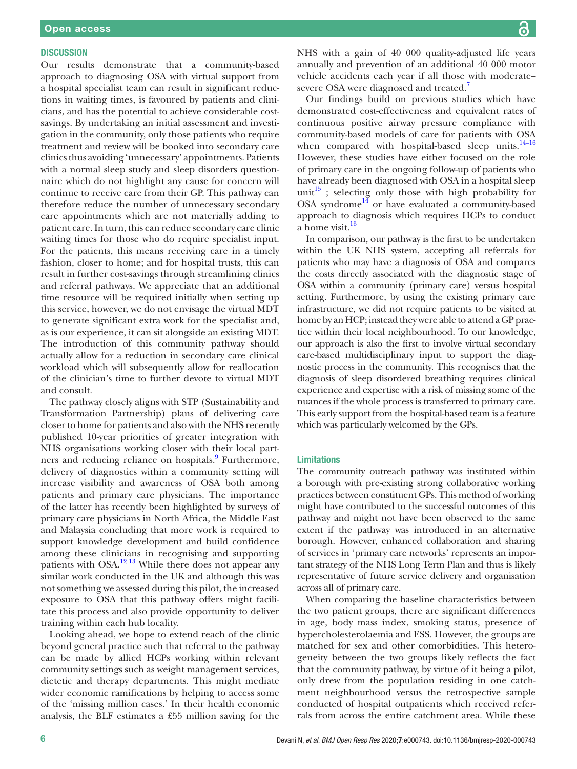#### **DISCUSSION**

Our results demonstrate that a community-based approach to diagnosing OSA with virtual support from a hospital specialist team can result in significant reductions in waiting times, is favoured by patients and clinicians, and has the potential to achieve considerable costsavings. By undertaking an initial assessment and investigation in the community, only those patients who require treatment and review will be booked into secondary care clinics thus avoiding 'unnecessary' appointments. Patients with a normal sleep study and sleep disorders questionnaire which do not highlight any cause for concern will continue to receive care from their GP. This pathway can therefore reduce the number of unnecessary secondary care appointments which are not materially adding to patient care. In turn, this can reduce secondary care clinic waiting times for those who do require specialist input. For the patients, this means receiving care in a timely fashion, closer to home; and for hospital trusts, this can result in further cost-savings through streamlining clinics and referral pathways. We appreciate that an additional time resource will be required initially when setting up this service, however, we do not envisage the virtual MDT to generate significant extra work for the specialist and, as is our experience, it can sit alongside an existing MDT. The introduction of this community pathway should actually allow for a reduction in secondary care clinical workload which will subsequently allow for reallocation of the clinician's time to further devote to virtual MDT and consult.

The pathway closely aligns with STP (Sustainability and Transformation Partnership) plans of delivering care closer to home for patients and also with the NHS recently published 10-year priorities of greater integration with NHS organisations working closer with their local partners and reducing reliance on hospitals.<sup>9</sup> Furthermore, delivery of diagnostics within a community setting will increase visibility and awareness of OSA both among patients and primary care physicians. The importance of the latter has recently been highlighted by surveys of primary care physicians in North Africa, the Middle East and Malaysia concluding that more work is required to support knowledge development and build confidence among these clinicians in recognising and supporting patients with OSA.<sup>12 13</sup> While there does not appear any similar work conducted in the UK and although this was not something we assessed during this pilot, the increased exposure to OSA that this pathway offers might facilitate this process and also provide opportunity to deliver training within each hub locality.

Looking ahead, we hope to extend reach of the clinic beyond general practice such that referral to the pathway can be made by allied HCPs working within relevant community settings such as weight management services, dietetic and therapy departments. This might mediate wider economic ramifications by helping to access some of the 'missing million cases.' In their health economic analysis, the BLF estimates a £55 million saving for the

NHS with a gain of 40 000 quality-adjusted life years annually and prevention of an additional 40 000 motor vehicle accidents each year if all those with moderate– severe OSA were diagnosed and treated.<sup>[7](#page-6-6)</sup>

Our findings build on previous studies which have demonstrated cost-effectiveness and equivalent rates of continuous positive airway pressure compliance with community-based models of care for patients with OSA when compared with hospital-based sleep units.<sup>14-16</sup> However, these studies have either focused on the role of primary care in the ongoing follow-up of patients who have already been diagnosed with OSA in a hospital sleep unit<sup>15</sup>; selecting only those with high probability for OSA syndrome<sup>14</sup> or have evaluated a community-based approach to diagnosis which requires HCPs to conduct a home visit.<sup>[16](#page-6-14)</sup>

In comparison, our pathway is the first to be undertaken within the UK NHS system, accepting all referrals for patients who may have a diagnosis of OSA and compares the costs directly associated with the diagnostic stage of OSA within a community (primary care) versus hospital setting. Furthermore, by using the existing primary care infrastructure, we did not require patients to be visited at home by an HCP; instead they were able to attend a GP practice within their local neighbourhood. To our knowledge, our approach is also the first to involve virtual secondary care-based multidisciplinary input to support the diagnostic process in the community. This recognises that the diagnosis of sleep disordered breathing requires clinical experience and expertise with a risk of missing some of the nuances if the whole process is transferred to primary care. This early support from the hospital-based team is a feature which was particularly welcomed by the GPs.

#### Limitations

The community outreach pathway was instituted within a borough with pre-existing strong collaborative working practices between constituent GPs. This method of working might have contributed to the successful outcomes of this pathway and might not have been observed to the same extent if the pathway was introduced in an alternative borough. However, enhanced collaboration and sharing of services in 'primary care networks' represents an important strategy of the NHS Long Term Plan and thus is likely representative of future service delivery and organisation across all of primary care.

When comparing the baseline characteristics between the two patient groups, there are significant differences in age, body mass index, smoking status, presence of hypercholesterolaemia and ESS. However, the groups are matched for sex and other comorbidities. This heterogeneity between the two groups likely reflects the fact that the community pathway, by virtue of it being a pilot, only drew from the population residing in one catchment neighbourhood versus the retrospective sample conducted of hospital outpatients which received referrals from across the entire catchment area. While these